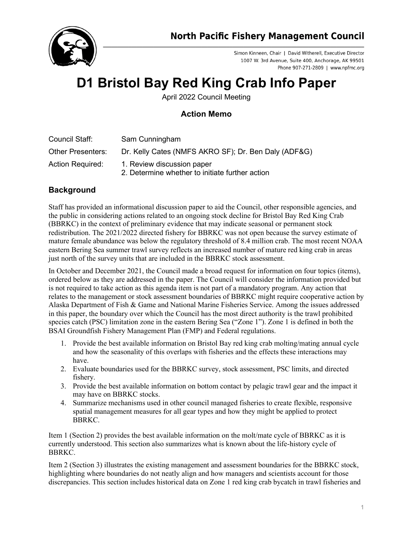

Simon Kinneen, Chair | David Witherell, Executive Director 1007 W. 3rd Avenue, Suite 400, Anchorage, AK 99501 Phone 907-271-2809 | www.npfmc.org

## **D1 Bristol Bay Red King Crab Info Paper**

April 2022 Council Meeting

## **Action Memo**

| Council Staff:           | Sam Cunningham                                                                |
|--------------------------|-------------------------------------------------------------------------------|
| <b>Other Presenters:</b> | Dr. Kelly Cates (NMFS AKRO SF); Dr. Ben Daly (ADF&G)                          |
| <b>Action Required:</b>  | 1. Review discussion paper<br>2. Determine whether to initiate further action |

## **Background**

Staff has provided an informational discussion paper to aid the Council, other responsible agencies, and the public in considering actions related to an ongoing stock decline for Bristol Bay Red King Crab (BBRKC) in the context of preliminary evidence that may indicate seasonal or permanent stock redistribution. The 2021/2022 directed fishery for BBRKC was not open because the survey estimate of mature female abundance was below the regulatory threshold of 8.4 million crab. The most recent NOAA eastern Bering Sea summer trawl survey reflects an increased number of mature red king crab in areas just north of the survey units that are included in the BBRKC stock assessment.

In October and December 2021, the Council made a broad request for information on four topics (items), ordered below as they are addressed in the paper. The Council will consider the information provided but is not required to take action as this agenda item is not part of a mandatory program. Any action that relates to the management or stock assessment boundaries of BBRKC might require cooperative action by Alaska Department of Fish & Game and National Marine Fisheries Service. Among the issues addressed in this paper, the boundary over which the Council has the most direct authority is the trawl prohibited species catch (PSC) limitation zone in the eastern Bering Sea ("Zone 1"). Zone 1 is defined in both the BSAI Groundfish Fishery Management Plan (FMP) and Federal regulations.

- 1. Provide the best available information on Bristol Bay red king crab molting/mating annual cycle and how the seasonality of this overlaps with fisheries and the effects these interactions may have.
- 2. Evaluate boundaries used for the BBRKC survey, stock assessment, PSC limits, and directed fishery.
- 3. Provide the best available information on bottom contact by pelagic trawl gear and the impact it may have on BBRKC stocks.
- 4. Summarize mechanisms used in other council managed fisheries to create flexible, responsive spatial management measures for all gear types and how they might be applied to protect BBRKC.

Item 1 (Section 2) provides the best available information on the molt/mate cycle of BBRKC as it is currently understood. This section also summarizes what is known about the life-history cycle of BBRKC.

Item 2 (Section 3) illustrates the existing management and assessment boundaries for the BBRKC stock, highlighting where boundaries do not neatly align and how managers and scientists account for those discrepancies. This section includes historical data on Zone 1 red king crab bycatch in trawl fisheries and